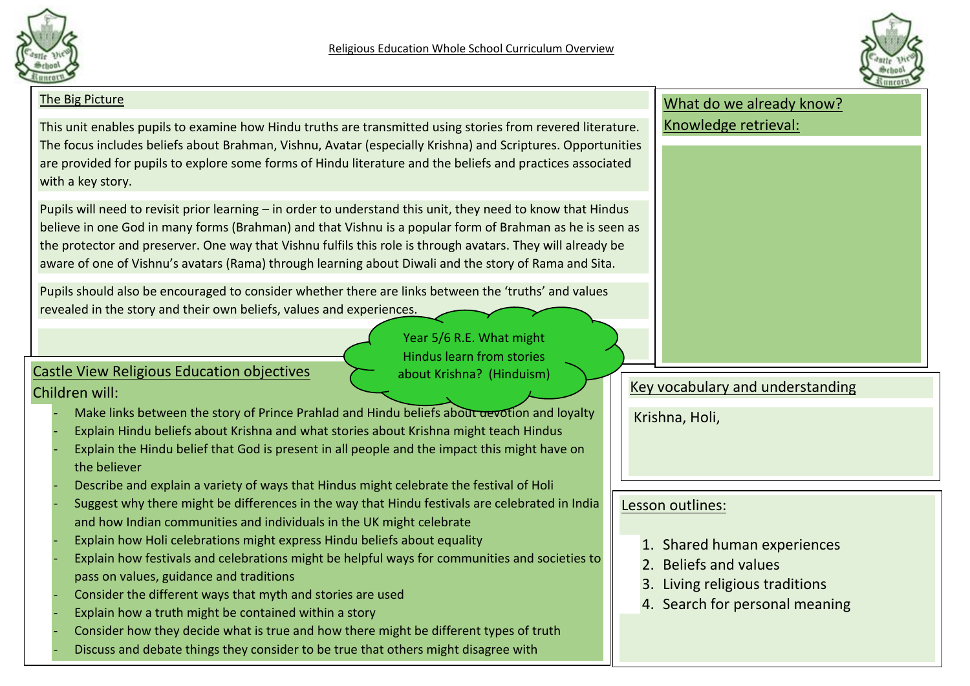

Year 5/6 R.E. What might Hindus learn from stories about Krishna? (Hinduism)



#### The Big Picture

This unit enables pupils to examine how Hindu truths are transmitted using stories from revered literature. The focus includes beliefs about Brahman, Vishnu, Avatar (especially Krishna) and Scriptures. Opportunities are provided for pupils to explore some forms of Hindu literature and the beliefs and practices associated with a key story.

Pupils will need to revisit prior learning – in order to understand this unit, they need to know that Hindus believe in one God in many forms (Brahman) and that Vishnu is a popular form of Brahman as he is seen as the protector and preserver. One way that Vishnu fulfils this role is through avatars. They will already be aware of one of Vishnu's avatars (Rama) through learning about Diwali and the story of Rama and Sita.

Pupils should also be encouraged to consider whether there are links between the 'truths' and values revealed in the story and their own beliefs, values and experiences.

#### Castle View Religious Education objectives Children will:

- Make links between the story of Prince Prahlad and Hindu beliefs about devotion and lovalty
- Explain Hindu beliefs about Krishna and what stories about Krishna might teach Hindus
- Explain the Hindu belief that God is present in all people and the impact this might have on the believer
- Describe and explain a variety of ways that Hindus might celebrate the festival of Holi
- Suggest why there might be differences in the way that Hindu festivals are celebrated in India and how Indian communities and individuals in the UK might celebrate
- Explain how Holi celebrations might express Hindu beliefs about equality
- Explain how festivals and celebrations might be helpful ways for communities and societies to pass on values, guidance and traditions
- Consider the different ways that myth and stories are used
- Explain how a truth might be contained within a story
- Consider how they decide what is true and how there might be different types of truth
- Discuss and debate things they consider to be true that others might disagree with

## What do we already know?

Knowledge retrieval:

### Key vocabulary and understanding

Krishna, Holi,

#### Lesson outlines:

- 1. Shared human experiences
- 2. Beliefs and values
- 3. Living religious traditions
- 4. Search for personal meaning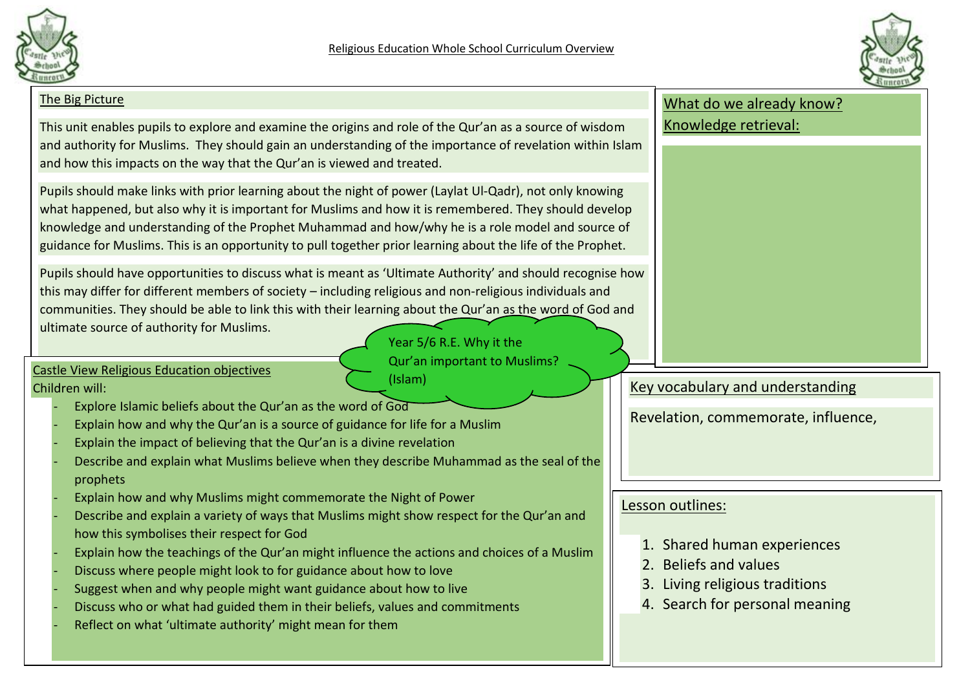



| The Big Picture                                                                                                                                                                                                                                                                                                                                                                                                                                                                                                                                                                                                                                                                                                                                         | What do we already know?                                                                                                                     |
|---------------------------------------------------------------------------------------------------------------------------------------------------------------------------------------------------------------------------------------------------------------------------------------------------------------------------------------------------------------------------------------------------------------------------------------------------------------------------------------------------------------------------------------------------------------------------------------------------------------------------------------------------------------------------------------------------------------------------------------------------------|----------------------------------------------------------------------------------------------------------------------------------------------|
| This unit enables pupils to explore and examine the origins and role of the Qur'an as a source of wisdom<br>and authority for Muslims. They should gain an understanding of the importance of revelation within Islam<br>and how this impacts on the way that the Qur'an is viewed and treated.                                                                                                                                                                                                                                                                                                                                                                                                                                                         | Knowledge retrieval:                                                                                                                         |
| Pupils should make links with prior learning about the night of power (Laylat Ul-Qadr), not only knowing<br>what happened, but also why it is important for Muslims and how it is remembered. They should develop<br>knowledge and understanding of the Prophet Muhammad and how/why he is a role model and source of<br>guidance for Muslims. This is an opportunity to pull together prior learning about the life of the Prophet.                                                                                                                                                                                                                                                                                                                    |                                                                                                                                              |
| Pupils should have opportunities to discuss what is meant as 'Ultimate Authority' and should recognise how<br>this may differ for different members of society - including religious and non-religious individuals and<br>communities. They should be able to link this with their learning about the Qur'an as the word of God and<br>ultimate source of authority for Muslims.<br>Year 5/6 R.E. Why it the<br>Qur'an important to Muslims?<br><b>Castle View Religious Education objectives</b><br>(Islam)<br>Children will:<br>Explore Islamic beliefs about the Qur'an as the word of God<br>Explain how and why the Qur'an is a source of guidance for life for a Muslim<br>Explain the impact of believing that the Qur'an is a divine revelation | Key vocabulary and understanding<br>Revelation, commemorate, influence,                                                                      |
| Describe and explain what Muslims believe when they describe Muhammad as the seal of the<br>prophets<br>Explain how and why Muslims might commemorate the Night of Power<br>Describe and explain a variety of ways that Muslims might show respect for the Qur'an and<br>how this symbolises their respect for God<br>Explain how the teachings of the Qur'an might influence the actions and choices of a Muslim<br>Discuss where people might look to for guidance about how to love<br>Suggest when and why people might want guidance about how to live<br>Discuss who or what had guided them in their beliefs, values and commitments<br>Reflect on what 'ultimate authority' might mean for them                                                 | Lesson outlines:<br>1. Shared human experiences<br>2. Beliefs and values<br>3. Living religious traditions<br>4. Search for personal meaning |